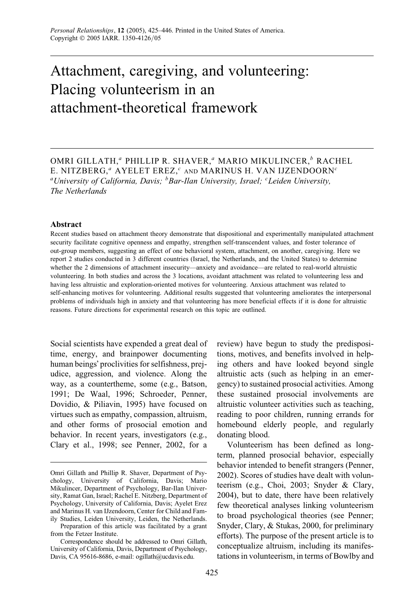# Attachment, caregiving, and volunteering: Placing volunteerism in an attachment-theoretical framework

OMRI GILLATH,<sup>a</sup> PHILLIP R. SHAVER,<sup>a</sup> MARIO MIKULINCER,<sup>b</sup> RACHEL E. NITZBERG,<sup> $a$ </sup> AYELET EREZ, $c$  and MARINUS H. VAN IJZENDOORN $c$ <sup>a</sup>University of California, Davis;  $^b$ Bar-Ilan University, Israel; <sup>c</sup>Leiden University, The Netherlands

#### Abstract

Recent studies based on attachment theory demonstrate that dispositional and experimentally manipulated attachment security facilitate cognitive openness and empathy, strengthen self-transcendent values, and foster tolerance of out-group members, suggesting an effect of one behavioral system, attachment, on another, caregiving. Here we report 2 studies conducted in 3 different countries (Israel, the Netherlands, and the United States) to determine whether the 2 dimensions of attachment insecurity—anxiety and avoidance—are related to real-world altruistic volunteering. In both studies and across the 3 locations, avoidant attachment was related to volunteering less and having less altruistic and exploration-oriented motives for volunteering. Anxious attachment was related to self-enhancing motives for volunteering. Additional results suggested that volunteering ameliorates the interpersonal problems of individuals high in anxiety and that volunteering has more beneficial effects if it is done for altruistic reasons. Future directions for experimental research on this topic are outlined.

Social scientists have expended a great deal of time, energy, and brainpower documenting human beings' proclivities for selfishness, prejudice, aggression, and violence. Along the way, as a countertheme, some (e.g., Batson, 1991; De Waal, 1996; Schroeder, Penner, Dovidio, & Piliavin, 1995) have focused on virtues such as empathy, compassion, altruism, and other forms of prosocial emotion and behavior. In recent years, investigators (e.g., Clary et al., 1998; see Penner, 2002, for a

Preparation of this article was facilitated by a grant from the Fetzer Institute.

review) have begun to study the predispositions, motives, and benefits involved in helping others and have looked beyond single altruistic acts (such as helping in an emergency) to sustained prosocial activities. Among these sustained prosocial involvements are altruistic volunteer activities such as teaching, reading to poor children, running errands for homebound elderly people, and regularly donating blood.

Volunteerism has been defined as longterm, planned prosocial behavior, especially behavior intended to benefit strangers (Penner, 2002). Scores of studies have dealt with volunteerism (e.g., Choi, 2003; Snyder & Clary, 2004), but to date, there have been relatively few theoretical analyses linking volunteerism to broad psychological theories (see Penner; Snyder, Clary, & Stukas, 2000, for preliminary efforts). The purpose of the present article is to conceptualize altruism, including its manifestations in volunteerism, in terms of Bowlby and

Omri Gillath and Phillip R. Shaver, Department of Psychology, University of California, Davis; Mario Mikulincer, Department of Psychology, Bar-Ilan University, Ramat Gan, Israel; Rachel E. Nitzberg, Department of Psychology, University of California, Davis; Ayelet Erez and Marinus H. van IJzendoorn, Center for Child and Family Studies, Leiden University, Leiden, the Netherlands.

Correspondence should be addressed to Omri Gillath, University of California, Davis, Department of Psychology, Davis, CA 95616-8686, e-mail: ogillath@ucdavis.edu.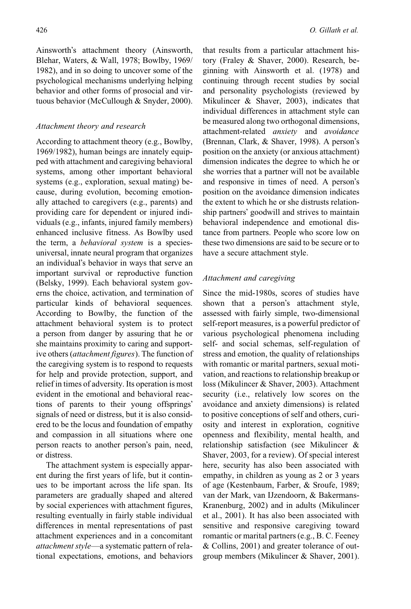Ainsworth's attachment theory (Ainsworth, Blehar, Waters, & Wall, 1978; Bowlby, 1969/ 1982), and in so doing to uncover some of the psychological mechanisms underlying helping behavior and other forms of prosocial and virtuous behavior (McCullough & Snyder, 2000).

## Attachment theory and research

According to attachment theory (e.g., Bowlby, 1969/1982), human beings are innately equipped with attachment and caregiving behavioral systems, among other important behavioral systems (e.g., exploration, sexual mating) because, during evolution, becoming emotionally attached to caregivers (e.g., parents) and providing care for dependent or injured individuals (e.g., infants, injured family members) enhanced inclusive fitness. As Bowlby used the term, a behavioral system is a speciesuniversal, innate neural program that organizes an individual's behavior in ways that serve an important survival or reproductive function (Belsky, 1999). Each behavioral system governs the choice, activation, and termination of particular kinds of behavioral sequences. According to Bowlby, the function of the attachment behavioral system is to protect a person from danger by assuring that he or she maintains proximity to caring and supportive others (attachment figures). The function of the caregiving system is to respond to requests for help and provide protection, support, and relief in times of adversity. Its operation is most evident in the emotional and behavioral reactions of parents to their young offsprings signals of need or distress, but it is also considered to be the locus and foundation of empathy and compassion in all situations where one person reacts to another person's pain, need, or distress.

The attachment system is especially apparent during the first years of life, but it continues to be important across the life span. Its parameters are gradually shaped and altered by social experiences with attachment figures, resulting eventually in fairly stable individual differences in mental representations of past attachment experiences and in a concomitant attachment style—a systematic pattern of relational expectations, emotions, and behaviors

that results from a particular attachment history (Fraley & Shaver, 2000). Research, beginning with Ainsworth et al. (1978) and continuing through recent studies by social and personality psychologists (reviewed by Mikulincer & Shaver, 2003), indicates that individual differences in attachment style can be measured along two orthogonal dimensions, attachment-related anxiety and avoidance (Brennan, Clark,  $&$  Shaver, 1998). A person's position on the anxiety (or anxious attachment) dimension indicates the degree to which he or she worries that a partner will not be available and responsive in times of need. A person's position on the avoidance dimension indicates the extent to which he or she distrusts relationship partners' goodwill and strives to maintain behavioral independence and emotional distance from partners. People who score low on these two dimensions are said to be secure or to have a secure attachment style.

## Attachment and caregiving

Since the mid-1980s, scores of studies have shown that a person's attachment style, assessed with fairly simple, two-dimensional self-report measures, is a powerful predictor of various psychological phenomena including self- and social schemas, self-regulation of stress and emotion, the quality of relationships with romantic or marital partners, sexual motivation, and reactions to relationship breakup or loss (Mikulincer & Shaver, 2003). Attachment security (i.e., relatively low scores on the avoidance and anxiety dimensions) is related to positive conceptions of self and others, curiosity and interest in exploration, cognitive openness and flexibility, mental health, and relationship satisfaction (see Mikulincer & Shaver, 2003, for a review). Of special interest here, security has also been associated with empathy, in children as young as 2 or 3 years of age (Kestenbaum, Farber, & Sroufe, 1989; van der Mark, van IJzendoorn, & Bakermans-Kranenburg, 2002) and in adults (Mikulincer et al., 2001). It has also been associated with sensitive and responsive caregiving toward romantic or marital partners (e.g., B. C. Feeney & Collins, 2001) and greater tolerance of outgroup members (Mikulincer & Shaver, 2001).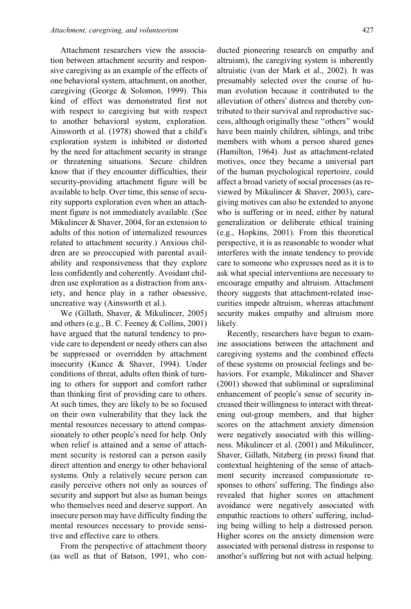Attachment researchers view the association between attachment security and responsive caregiving as an example of the effects of one behavioral system, attachment, on another, caregiving (George & Solomon, 1999). This kind of effect was demonstrated first not with respect to caregiving but with respect to another behavioral system, exploration. Ainsworth et al. (1978) showed that a child's exploration system is inhibited or distorted by the need for attachment security in strange or threatening situations. Secure children know that if they encounter difficulties, their security-providing attachment figure will be available to help. Over time, this sense of security supports exploration even when an attachment figure is not immediately available. (See Mikulincer & Shaver, 2004, for an extension to adults of this notion of internalized resources related to attachment security.) Anxious children are so preoccupied with parental availability and responsiveness that they explore less confidently and coherently. Avoidant children use exploration as a distraction from anxiety, and hence play in a rather obsessive, uncreative way (Ainsworth et al.).

We (Gillath, Shaver, & Mikulincer, 2005) and others (e.g., B. C. Feeney & Collins, 2001) have argued that the natural tendency to provide care to dependent or needy others can also be suppressed or overridden by attachment insecurity (Kunce & Shaver, 1994). Under conditions of threat, adults often think of turning to others for support and comfort rather than thinking first of providing care to others. At such times, they are likely to be so focused on their own vulnerability that they lack the mental resources necessary to attend compassionately to other people's need for help. Only when relief is attained and a sense of attachment security is restored can a person easily direct attention and energy to other behavioral systems. Only a relatively secure person can easily perceive others not only as sources of security and support but also as human beings who themselves need and deserve support. An insecure person may have difficulty finding the mental resources necessary to provide sensitive and effective care to others.

From the perspective of attachment theory (as well as that of Batson, 1991, who con-

ducted pioneering research on empathy and altruism), the caregiving system is inherently altruistic (van der Mark et al., 2002). It was presumably selected over the course of human evolution because it contributed to the alleviation of others' distress and thereby contributed to their survival and reproductive success, although originally these ''others'' would have been mainly children, siblings, and tribe members with whom a person shared genes (Hamilton, 1964). Just as attachment-related motives, once they became a universal part of the human psychological repertoire, could affect a broad variety of social processes (as reviewed by Mikulincer & Shaver, 2003), caregiving motives can also be extended to anyone who is suffering or in need, either by natural generalization or deliberate ethical training (e.g., Hopkins, 2001). From this theoretical perspective, it is as reasonable to wonder what interferes with the innate tendency to provide care to someone who expresses need as it is to ask what special interventions are necessary to encourage empathy and altruism. Attachment theory suggests that attachment-related insecurities impede altruism, whereas attachment security makes empathy and altruism more likely.

Recently, researchers have begun to examine associations between the attachment and caregiving systems and the combined effects of these systems on prosocial feelings and behaviors. For example, Mikulincer and Shaver (2001) showed that subliminal or supraliminal enhancement of people's sense of security increased their willingness to interact with threatening out-group members, and that higher scores on the attachment anxiety dimension were negatively associated with this willingness. Mikulincer et al. (2001) and Mikulincer, Shaver, Gillath, Nitzberg (in press) found that contextual heightening of the sense of attachment security increased compassionate responses to others' suffering. The findings also revealed that higher scores on attachment avoidance were negatively associated with empathic reactions to others' suffering, including being willing to help a distressed person. Higher scores on the anxiety dimension were associated with personal distress in response to another's suffering but not with actual helping.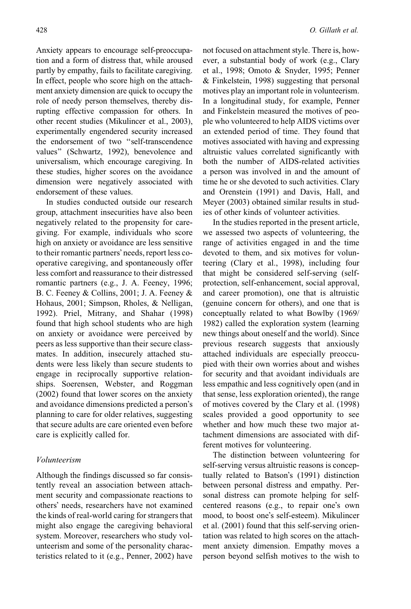Anxiety appears to encourage self-preoccupation and a form of distress that, while aroused partly by empathy, fails to facilitate caregiving. In effect, people who score high on the attachment anxiety dimension are quick to occupy the role of needy person themselves, thereby disrupting effective compassion for others. In other recent studies (Mikulincer et al., 2003), experimentally engendered security increased the endorsement of two ''self-transcendence values'' (Schwartz, 1992), benevolence and universalism, which encourage caregiving. In these studies, higher scores on the avoidance dimension were negatively associated with endorsement of these values.

In studies conducted outside our research group, attachment insecurities have also been negatively related to the propensity for caregiving. For example, individuals who score high on anxiety or avoidance are less sensitive to their romantic partners' needs, report less cooperative caregiving, and spontaneously offer less comfort and reassurance to their distressed romantic partners (e.g., J. A. Feeney, 1996; B. C. Feeney & Collins, 2001; J. A. Feeney & Hohaus, 2001; Simpson, Rholes, & Nelligan, 1992). Priel, Mitrany, and Shahar (1998) found that high school students who are high on anxiety or avoidance were perceived by peers as less supportive than their secure classmates. In addition, insecurely attached students were less likely than secure students to engage in reciprocally supportive relationships. Soerensen, Webster, and Roggman (2002) found that lower scores on the anxiety and avoidance dimensions predicted a person's planning to care for older relatives, suggesting that secure adults are care oriented even before care is explicitly called for.

### Volunteerism

Although the findings discussed so far consistently reveal an association between attachment security and compassionate reactions to others' needs, researchers have not examined the kinds of real-world caring for strangers that might also engage the caregiving behavioral system. Moreover, researchers who study volunteerism and some of the personality characteristics related to it (e.g., Penner, 2002) have not focused on attachment style. There is, however, a substantial body of work (e.g., Clary et al., 1998; Omoto & Snyder, 1995; Penner & Finkelstein, 1998) suggesting that personal motives play an important role in volunteerism. In a longitudinal study, for example, Penner and Finkelstein measured the motives of people who volunteered to help AIDS victims over an extended period of time. They found that motives associated with having and expressing altruistic values correlated significantly with both the number of AIDS-related activities a person was involved in and the amount of time he or she devoted to such activities. Clary and Orenstein (1991) and Davis, Hall, and Meyer (2003) obtained similar results in studies of other kinds of volunteer activities.

In the studies reported in the present article, we assessed two aspects of volunteering, the range of activities engaged in and the time devoted to them, and six motives for volunteering (Clary et al., 1998), including four that might be considered self-serving (selfprotection, self-enhancement, social approval, and career promotion), one that is altruistic (genuine concern for others), and one that is conceptually related to what Bowlby (1969/ 1982) called the exploration system (learning new things about oneself and the world). Since previous research suggests that anxiously attached individuals are especially preoccupied with their own worries about and wishes for security and that avoidant individuals are less empathic and less cognitively open (and in that sense, less exploration oriented), the range of motives covered by the Clary et al. (1998) scales provided a good opportunity to see whether and how much these two major attachment dimensions are associated with different motives for volunteering.

The distinction between volunteering for self-serving versus altruistic reasons is conceptually related to Batson's (1991) distinction between personal distress and empathy. Personal distress can promote helping for selfcentered reasons (e.g., to repair one's own mood, to boost one's self-esteem). Mikulincer et al. (2001) found that this self-serving orientation was related to high scores on the attachment anxiety dimension. Empathy moves a person beyond selfish motives to the wish to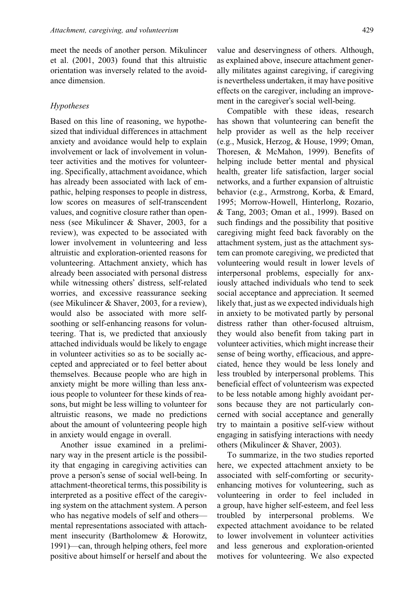meet the needs of another person. Mikulincer et al. (2001, 2003) found that this altruistic orientation was inversely related to the avoidance dimension.

#### Hypotheses

Based on this line of reasoning, we hypothesized that individual differences in attachment anxiety and avoidance would help to explain involvement or lack of involvement in volunteer activities and the motives for volunteering. Specifically, attachment avoidance, which has already been associated with lack of empathic, helping responses to people in distress, low scores on measures of self-transcendent values, and cognitive closure rather than openness (see Mikulincer & Shaver, 2003, for a review), was expected to be associated with lower involvement in volunteering and less altruistic and exploration-oriented reasons for volunteering. Attachment anxiety, which has already been associated with personal distress while witnessing others' distress, self-related worries, and excessive reassurance seeking (see Mikulincer & Shaver, 2003, for a review), would also be associated with more selfsoothing or self-enhancing reasons for volunteering. That is, we predicted that anxiously attached individuals would be likely to engage in volunteer activities so as to be socially accepted and appreciated or to feel better about themselves. Because people who are high in anxiety might be more willing than less anxious people to volunteer for these kinds of reasons, but might be less willing to volunteer for altruistic reasons, we made no predictions about the amount of volunteering people high in anxiety would engage in overall.

Another issue examined in a preliminary way in the present article is the possibility that engaging in caregiving activities can prove a person's sense of social well-being. In attachment-theoretical terms, this possibility is interpreted as a positive effect of the caregiving system on the attachment system. A person who has negative models of self and others mental representations associated with attachment insecurity (Bartholomew & Horowitz, 1991)—can, through helping others, feel more positive about himself or herself and about the

value and deservingness of others. Although, as explained above, insecure attachment generally militates against caregiving, if caregiving is nevertheless undertaken, it may have positive effects on the caregiver, including an improvement in the caregiver's social well-being.

Compatible with these ideas, research has shown that volunteering can benefit the help provider as well as the help receiver (e.g., Musick, Herzog, & House, 1999; Oman, Thoresen, & McMahon, 1999). Benefits of helping include better mental and physical health, greater life satisfaction, larger social networks, and a further expansion of altruistic behavior (e.g., Armstrong, Korba, & Emard, 1995; Morrow-Howell, Hinterlong, Rozario, & Tang, 2003; Oman et al., 1999). Based on such findings and the possibility that positive caregiving might feed back favorably on the attachment system, just as the attachment system can promote caregiving, we predicted that volunteering would result in lower levels of interpersonal problems, especially for anxiously attached individuals who tend to seek social acceptance and appreciation. It seemed likely that, just as we expected individuals high in anxiety to be motivated partly by personal distress rather than other-focused altruism, they would also benefit from taking part in volunteer activities, which might increase their sense of being worthy, efficacious, and appreciated, hence they would be less lonely and less troubled by interpersonal problems. This beneficial effect of volunteerism was expected to be less notable among highly avoidant persons because they are not particularly concerned with social acceptance and generally try to maintain a positive self-view without engaging in satisfying interactions with needy others (Mikulincer & Shaver, 2003).

To summarize, in the two studies reported here, we expected attachment anxiety to be associated with self-comforting or securityenhancing motives for volunteering, such as volunteering in order to feel included in a group, have higher self-esteem, and feel less troubled by interpersonal problems. We expected attachment avoidance to be related to lower involvement in volunteer activities and less generous and exploration-oriented motives for volunteering. We also expected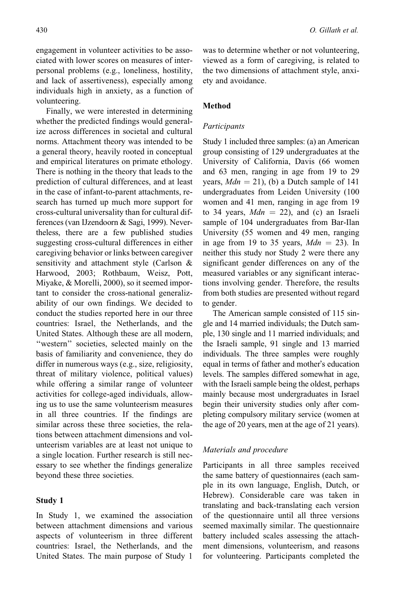engagement in volunteer activities to be associated with lower scores on measures of interpersonal problems (e.g., loneliness, hostility, and lack of assertiveness), especially among individuals high in anxiety, as a function of volunteering.

Finally, we were interested in determining whether the predicted findings would generalize across differences in societal and cultural norms. Attachment theory was intended to be a general theory, heavily rooted in conceptual and empirical literatures on primate ethology. There is nothing in the theory that leads to the prediction of cultural differences, and at least in the case of infant-to-parent attachments, research has turned up much more support for cross-cultural universality than for cultural differences (van IJzendoorn & Sagi, 1999). Nevertheless, there are a few published studies suggesting cross-cultural differences in either caregiving behavior or links between caregiver sensitivity and attachment style (Carlson & Harwood, 2003; Rothbaum, Weisz, Pott, Miyake, & Morelli, 2000), so it seemed important to consider the cross-national generalizability of our own findings. We decided to conduct the studies reported here in our three countries: Israel, the Netherlands, and the United States. Although these are all modern, ''western'' societies, selected mainly on the basis of familiarity and convenience, they do differ in numerous ways (e.g., size, religiosity, threat of military violence, political values) while offering a similar range of volunteer activities for college-aged individuals, allowing us to use the same volunteerism measures in all three countries. If the findings are similar across these three societies, the relations between attachment dimensions and volunteerism variables are at least not unique to a single location. Further research is still necessary to see whether the findings generalize beyond these three societies.

# Study 1

In Study 1, we examined the association between attachment dimensions and various aspects of volunteerism in three different countries: Israel, the Netherlands, and the United States. The main purpose of Study 1

was to determine whether or not volunteering, viewed as a form of caregiving, is related to the two dimensions of attachment style, anxiety and avoidance.

# Method

#### **Participants**

Study 1 included three samples: (a) an American group consisting of 129 undergraduates at the University of California, Davis (66 women and 63 men, ranging in age from 19 to 29 years,  $Mdn = 21$ ), (b) a Dutch sample of 141 undergraduates from Leiden University (100 women and 41 men, ranging in age from 19 to 34 years,  $Mdn = 22$ ), and (c) an Israeli sample of 104 undergraduates from Bar-Ilan University (55 women and 49 men, ranging in age from 19 to 35 years,  $Mdn = 23$ ). In neither this study nor Study 2 were there any significant gender differences on any of the measured variables or any significant interactions involving gender. Therefore, the results from both studies are presented without regard to gender.

The American sample consisted of 115 single and 14 married individuals; the Dutch sample, 130 single and 11 married individuals; and the Israeli sample, 91 single and 13 married individuals. The three samples were roughly equal in terms of father and mother's education levels. The samples differed somewhat in age, with the Israeli sample being the oldest, perhaps mainly because most undergraduates in Israel begin their university studies only after completing compulsory military service (women at the age of 20 years, men at the age of 21 years).

#### Materials and procedure

Participants in all three samples received the same battery of questionnaires (each sample in its own language, English, Dutch, or Hebrew). Considerable care was taken in translating and back-translating each version of the questionnaire until all three versions seemed maximally similar. The questionnaire battery included scales assessing the attachment dimensions, volunteerism, and reasons for volunteering. Participants completed the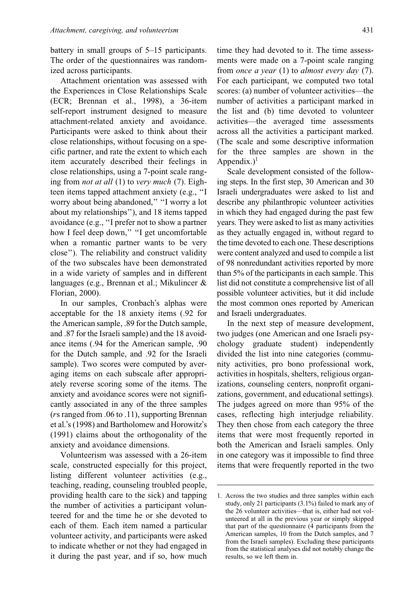battery in small groups of 5–15 participants. The order of the questionnaires was randomized across participants.

Attachment orientation was assessed with the Experiences in Close Relationships Scale (ECR; Brennan et al., 1998), a 36-item self-report instrument designed to measure attachment-related anxiety and avoidance. Participants were asked to think about their close relationships, without focusing on a specific partner, and rate the extent to which each item accurately described their feelings in close relationships, using a 7-point scale ranging from *not at all*  $(1)$  to very *much*  $(7)$ . Eighteen items tapped attachment anxiety (e.g., ''I worry about being abandoned,'' ''I worry a lot about my relationships''), and 18 items tapped avoidance (e.g., ''I prefer not to show a partner how I feel deep down,'' ''I get uncomfortable when a romantic partner wants to be very close''). The reliability and construct validity of the two subscales have been demonstrated in a wide variety of samples and in different languages (e.g., Brennan et al.; Mikulincer & Florian, 2000).

In our samples, Cronbach's alphas were acceptable for the 18 anxiety items (.92 for the American sample, .89 for the Dutch sample, and .87 for the Israeli sample) and the 18 avoidance items (.94 for the American sample, .90 for the Dutch sample, and .92 for the Israeli sample). Two scores were computed by averaging items on each subscale after appropriately reverse scoring some of the items. The anxiety and avoidance scores were not significantly associated in any of the three samples (rs ranged from .06 to .11), supporting Brennan et al.'s (1998) and Bartholomew and Horowitz's (1991) claims about the orthogonality of the anxiety and avoidance dimensions.

Volunteerism was assessed with a 26-item scale, constructed especially for this project, listing different volunteer activities (e.g., teaching, reading, counseling troubled people, providing health care to the sick) and tapping the number of activities a participant volunteered for and the time he or she devoted to each of them. Each item named a particular volunteer activity, and participants were asked to indicate whether or not they had engaged in it during the past year, and if so, how much time they had devoted to it. The time assessments were made on a 7-point scale ranging from once a year  $(1)$  to almost every day  $(7)$ . For each participant, we computed two total scores: (a) number of volunteer activities—the number of activities a participant marked in the list and (b) time devoted to volunteer activities—the averaged time assessments across all the activities a participant marked. (The scale and some descriptive information for the three samples are shown in the Appendix.)<sup>1</sup>

Scale development consisted of the following steps. In the first step, 30 American and 30 Israeli undergraduates were asked to list and describe any philanthropic volunteer activities in which they had engaged during the past few years. They were asked to list as many activities as they actually engaged in, without regard to the time devoted to each one. These descriptions were content analyzed and used to compile a list of 98 nonredundant activities reported by more than 5% of the participants in each sample. This list did not constitute a comprehensive list of all possible volunteer activities, but it did include the most common ones reported by American and Israeli undergraduates.

In the next step of measure development, two judges (one American and one Israeli psychology graduate student) independently divided the list into nine categories (community activities, pro bono professional work, activities in hospitals, shelters, religious organizations, counseling centers, nonprofit organizations, government, and educational settings). The judges agreed on more than 95% of the cases, reflecting high interjudge reliability. They then chose from each category the three items that were most frequently reported in both the American and Israeli samples. Only in one category was it impossible to find three items that were frequently reported in the two

<sup>1.</sup> Across the two studies and three samples within each study, only 21 participants (3.1%) failed to mark any of the 26 volunteer activities—that is, either had not volunteered at all in the previous year or simply skipped that part of the questionnaire (4 participants from the American samples, 10 from the Dutch samples, and 7 from the Israeli samples). Excluding these participants from the statistical analyses did not notably change the results, so we left them in.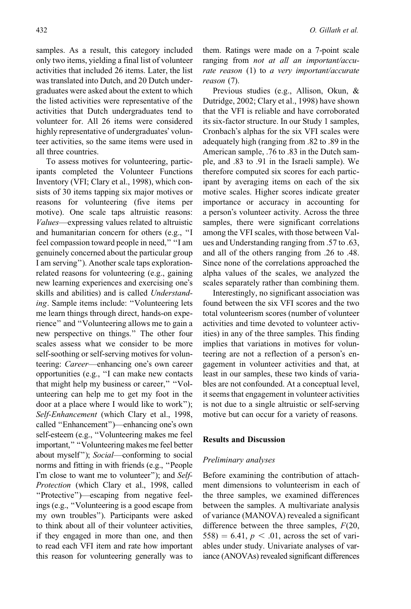samples. As a result, this category included only two items, yielding a final list of volunteer activities that included 26 items. Later, the list was translated into Dutch, and 20 Dutch undergraduates were asked about the extent to which the listed activities were representative of the activities that Dutch undergraduates tend to volunteer for. All 26 items were considered highly representative of undergraduates' volunteer activities, so the same items were used in all three countries.

To assess motives for volunteering, participants completed the Volunteer Functions Inventory (VFI; Clary et al., 1998), which consists of 30 items tapping six major motives or reasons for volunteering (five items per motive). One scale taps altruistic reasons: Values—expressing values related to altruistic and humanitarian concern for others (e.g., ''I feel compassion toward people in need,'' ''I am genuinely concerned about the particular group I am serving''). Another scale taps explorationrelated reasons for volunteering (e.g., gaining new learning experiences and exercising one's skills and abilities) and is called Understanding. Sample items include: ''Volunteering lets me learn things through direct, hands-on experience'' and ''Volunteering allows me to gain a new perspective on things.'' The other four scales assess what we consider to be more self-soothing or self-serving motives for volunteering: Career—enhancing one's own career opportunities (e.g., ''I can make new contacts that might help my business or career,'' ''Volunteering can help me to get my foot in the door at a place where I would like to work''); Self-Enhancement (which Clary et al., 1998, called "Enhancement")—enhancing one's own self-esteem (e.g., ''Volunteering makes me feel important,'' ''Volunteering makes me feel better about myself"); Social—conforming to social norms and fitting in with friends (e.g., ''People I'm close to want me to volunteer"); and Self-Protection (which Clary et al., 1998, called ''Protective'')—escaping from negative feelings (e.g., ''Volunteering is a good escape from my own troubles''). Participants were asked to think about all of their volunteer activities, if they engaged in more than one, and then to read each VFI item and rate how important this reason for volunteering generally was to them. Ratings were made on a 7-point scale ranging from not at all an important/accurate reason (1) to a very important/accurate reason (7).

Previous studies (e.g., Allison, Okun, & Dutridge, 2002; Clary et al., 1998) have shown that the VFI is reliable and have corroborated its six-factor structure. In our Study 1 samples, Cronbach's alphas for the six VFI scales were adequately high (ranging from .82 to .89 in the American sample, .76 to .83 in the Dutch sample, and .83 to .91 in the Israeli sample). We therefore computed six scores for each participant by averaging items on each of the six motive scales. Higher scores indicate greater importance or accuracy in accounting for a person's volunteer activity. Across the three samples, there were significant correlations among the VFI scales, with those between Values and Understanding ranging from .57 to .63, and all of the others ranging from .26 to .48. Since none of the correlations approached the alpha values of the scales, we analyzed the scales separately rather than combining them.

Interestingly, no significant association was found between the six VFI scores and the two total volunteerism scores (number of volunteer activities and time devoted to volunteer activities) in any of the three samples. This finding implies that variations in motives for volunteering are not a reflection of a person's engagement in volunteer activities and that, at least in our samples, these two kinds of variables are not confounded. At a conceptual level, it seems that engagement in volunteer activities is not due to a single altruistic or self-serving motive but can occur for a variety of reasons.

# Results and Discussion

#### Preliminary analyses

Before examining the contribution of attachment dimensions to volunteerism in each of the three samples, we examined differences between the samples. A multivariate analysis of variance (MANOVA) revealed a significant difference between the three samples,  $F(20, 10)$ 558) = 6.41,  $p < .01$ , across the set of variables under study. Univariate analyses of variance (ANOVAs) revealed significant differences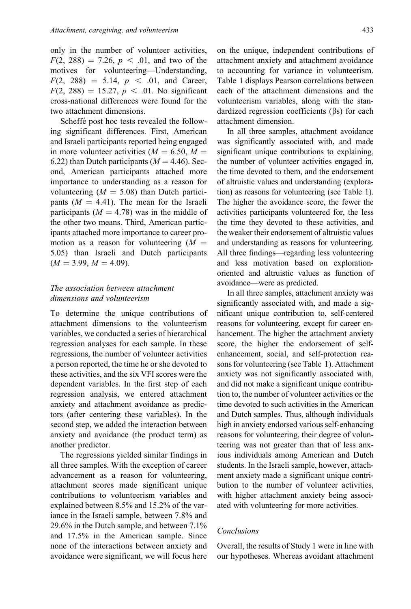only in the number of volunteer activities,  $F(2, 288) = 7.26, p < .01$ , and two of the motives for volunteering—Understanding,  $F(2, 288) = 5.14, p < .01,$  and Career,  $F(2, 288) = 15.27, p < .01$ . No significant cross-national differences were found for the two attachment dimensions.

Scheffé post hoc tests revealed the following significant differences. First, American and Israeli participants reported being engaged in more volunteer activities ( $M = 6.50$ ,  $M =$ 6.22) than Dutch participants ( $M = 4.46$ ). Second, American participants attached more importance to understanding as a reason for volunteering  $(M = 5.08)$  than Dutch participants  $(M = 4.41)$ . The mean for the Israeli participants ( $M = 4.78$ ) was in the middle of the other two means. Third, American participants attached more importance to career promotion as a reason for volunteering  $(M =$ 5.05) than Israeli and Dutch participants  $(M = 3.99, M = 4.09).$ 

# The association between attachment dimensions and volunteerism

To determine the unique contributions of attachment dimensions to the volunteerism variables, we conducted a series of hierarchical regression analyses for each sample. In these regressions, the number of volunteer activities a person reported, the time he or she devoted to these activities, and the six VFI scores were the dependent variables. In the first step of each regression analysis, we entered attachment anxiety and attachment avoidance as predictors (after centering these variables). In the second step, we added the interaction between anxiety and avoidance (the product term) as another predictor.

The regressions yielded similar findings in all three samples. With the exception of career advancement as a reason for volunteering, attachment scores made significant unique contributions to volunteerism variables and explained between 8.5% and 15.2% of the variance in the Israeli sample, between 7.8% and 29.6% in the Dutch sample, and between 7.1% and 17.5% in the American sample. Since none of the interactions between anxiety and avoidance were significant, we will focus here

on the unique, independent contributions of attachment anxiety and attachment avoidance to accounting for variance in volunteerism. Table 1 displays Pearson correlations between each of the attachment dimensions and the volunteerism variables, along with the standardized regression coefficients  $(\beta s)$  for each attachment dimension.

In all three samples, attachment avoidance was significantly associated with, and made significant unique contributions to explaining, the number of volunteer activities engaged in, the time devoted to them, and the endorsement of altruistic values and understanding (exploration) as reasons for volunteering (see Table 1). The higher the avoidance score, the fewer the activities participants volunteered for, the less the time they devoted to these activities, and the weaker their endorsement of altruistic values and understanding as reasons for volunteering. All three findings—regarding less volunteering and less motivation based on explorationoriented and altruistic values as function of avoidance—were as predicted.

In all three samples, attachment anxiety was significantly associated with, and made a significant unique contribution to, self-centered reasons for volunteering, except for career enhancement. The higher the attachment anxiety score, the higher the endorsement of selfenhancement, social, and self-protection reasons for volunteering (see Table 1). Attachment anxiety was not significantly associated with, and did not make a significant unique contribution to, the number of volunteer activities or the time devoted to such activities in the American and Dutch samples. Thus, although individuals high in anxiety endorsed various self-enhancing reasons for volunteering, their degree of volunteering was not greater than that of less anxious individuals among American and Dutch students. In the Israeli sample, however, attachment anxiety made a significant unique contribution to the number of volunteer activities, with higher attachment anxiety being associated with volunteering for more activities.

# Conclusions

Overall, the results of Study 1 were in line with our hypotheses. Whereas avoidant attachment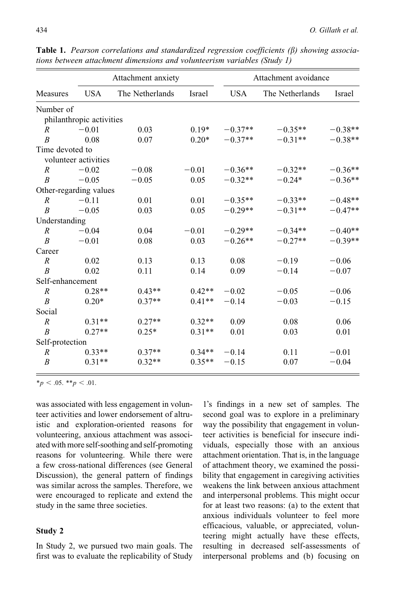|                        |                          | Attachment anxiety |          |            | Attachment avoidance |           |
|------------------------|--------------------------|--------------------|----------|------------|----------------------|-----------|
| <b>Measures</b>        | <b>USA</b>               | The Netherlands    | Israel   | <b>USA</b> | The Netherlands      | Israel    |
| Number of              |                          |                    |          |            |                      |           |
|                        | philanthropic activities |                    |          |            |                      |           |
| R                      | $-0.01$                  | 0.03               | $0.19*$  | $-0.37**$  | $-0.35**$            | $-0.38**$ |
| $\overline{B}$         | 0.08                     | 0.07               | $0.20*$  | $-0.37**$  | $-0.31**$            | $-0.38**$ |
| Time devoted to        |                          |                    |          |            |                      |           |
|                        | volunteer activities     |                    |          |            |                      |           |
| $\overline{R}$         | $-0.02$                  | $-0.08$            | $-0.01$  | $-0.36**$  | $-0.32**$            | $-0.36**$ |
| $\overline{B}$         | $-0.05$                  | $-0.05$            | 0.05     | $-0.32**$  | $-0.24*$             | $-0.36**$ |
| Other-regarding values |                          |                    |          |            |                      |           |
| $\boldsymbol{R}$       | $-0.11$                  | 0.01               | 0.01     | $-0.35**$  | $-0.33**$            | $-0.48**$ |
| $\overline{B}$         | $-0.05$                  | 0.03               | 0.05     | $-0.29**$  | $-0.31**$            | $-0.47**$ |
| Understanding          |                          |                    |          |            |                      |           |
| $\boldsymbol{R}$       | $-0.04$                  | 0.04               | $-0.01$  | $-0.29**$  | $-0.34**$            | $-0.40**$ |
| B                      | $-0.01$                  | 0.08               | 0.03     | $-0.26**$  | $-0.27**$            | $-0.39**$ |
| Career                 |                          |                    |          |            |                      |           |
| $\boldsymbol{R}$       | 0.02                     | 0.13               | 0.13     | 0.08       | $-0.19$              | $-0.06$   |
| $\overline{B}$         | 0.02                     | 0.11               | 0.14     | 0.09       | $-0.14$              | $-0.07$   |
| Self-enhancement       |                          |                    |          |            |                      |           |
| R                      | $0.28**$                 | $0.43**$           | $0.42**$ | $-0.02$    | $-0.05$              | $-0.06$   |
| $\boldsymbol{B}$       | $0.20*$                  | $0.37**$           | $0.41**$ | $-0.14$    | $-0.03$              | $-0.15$   |
| Social                 |                          |                    |          |            |                      |           |
| $\boldsymbol{R}$       | $0.31**$                 | $0.27**$           | $0.32**$ | 0.09       | 0.08                 | 0.06      |
| $\overline{B}$         | $0.27**$                 | $0.25*$            | $0.31**$ | 0.01       | 0.03                 | 0.01      |
| Self-protection        |                          |                    |          |            |                      |           |
| R                      | $0.33**$                 | $0.37**$           | $0.34**$ | $-0.14$    | 0.11                 | $-0.01$   |
| B                      | $0.31**$                 | $0.32**$           | $0.35**$ | $-0.15$    | 0.07                 | $-0.04$   |

**Table 1.** Pearson correlations and standardized regression coefficients ( $\beta$ ) showing associations between attachment dimensions and volunteerism variables (Study 1)

 $*_{p}$  < .05.  $*_{p}$  < .01.

was associated with less engagement in volunteer activities and lower endorsement of altruistic and exploration-oriented reasons for volunteering, anxious attachment was associated with more self-soothing and self-promoting reasons for volunteering. While there were a few cross-national differences (see General Discussion), the general pattern of findings was similar across the samples. Therefore, we were encouraged to replicate and extend the study in the same three societies.

# Study 2

In Study 2, we pursued two main goals. The first was to evaluate the replicability of Study 1s findings in a new set of samples. The second goal was to explore in a preliminary way the possibility that engagement in volunteer activities is beneficial for insecure individuals, especially those with an anxious attachment orientation. That is, in the language of attachment theory, we examined the possibility that engagement in caregiving activities weakens the link between anxious attachment and interpersonal problems. This might occur for at least two reasons: (a) to the extent that anxious individuals volunteer to feel more efficacious, valuable, or appreciated, volunteering might actually have these effects, resulting in decreased self-assessments of interpersonal problems and (b) focusing on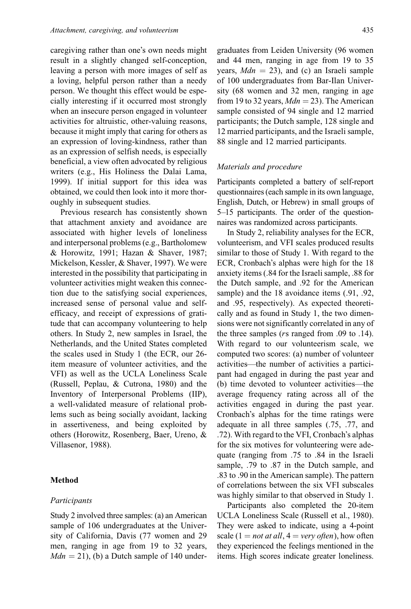caregiving rather than one's own needs might result in a slightly changed self-conception, leaving a person with more images of self as a loving, helpful person rather than a needy person. We thought this effect would be especially interesting if it occurred most strongly when an insecure person engaged in volunteer activities for altruistic, other-valuing reasons, because it might imply that caring for others as an expression of loving-kindness, rather than as an expression of selfish needs, is especially beneficial, a view often advocated by religious writers (e.g., His Holiness the Dalai Lama, 1999). If initial support for this idea was obtained, we could then look into it more thoroughly in subsequent studies.

Previous research has consistently shown that attachment anxiety and avoidance are associated with higher levels of loneliness and interpersonal problems (e.g., Bartholomew & Horowitz, 1991; Hazan & Shaver, 1987; Mickelson, Kessler, & Shaver, 1997). We were interested in the possibility that participating in volunteer activities might weaken this connection due to the satisfying social experiences, increased sense of personal value and selfefficacy, and receipt of expressions of gratitude that can accompany volunteering to help others. In Study 2, new samples in Israel, the Netherlands, and the United States completed the scales used in Study 1 (the ECR, our 26 item measure of volunteer activities, and the VFI) as well as the UCLA Loneliness Scale (Russell, Peplau, & Cutrona, 1980) and the Inventory of Interpersonal Problems (IIP), a well-validated measure of relational problems such as being socially avoidant, lacking in assertiveness, and being exploited by others (Horowitz, Rosenberg, Baer, Ureno, & Villasenor, 1988).

# Method

#### Participants

Study 2 involved three samples: (a) an American sample of 106 undergraduates at the University of California, Davis (77 women and 29 men, ranging in age from 19 to 32 years,  $Mdn = 21$ , (b) a Dutch sample of 140 undergraduates from Leiden University (96 women and 44 men, ranging in age from 19 to 35 years,  $Mdn = 23$ ), and (c) an Israeli sample of 100 undergraduates from Bar-Ilan University (68 women and 32 men, ranging in age from 19 to 32 years,  $Mdn = 23$ ). The American sample consisted of 94 single and 12 married participants; the Dutch sample, 128 single and 12 married participants, and the Israeli sample, 88 single and 12 married participants.

#### Materials and procedure

Participants completed a battery of self-report questionnaires (each sample in its own language, English, Dutch, or Hebrew) in small groups of 5–15 participants. The order of the questionnaires was randomized across participants.

In Study 2, reliability analyses for the ECR, volunteerism, and VFI scales produced results similar to those of Study 1. With regard to the ECR, Cronbach's alphas were high for the 18 anxiety items (.84 for the Israeli sample, .88 for the Dutch sample, and .92 for the American sample) and the 18 avoidance items (.91, .92, and .95, respectively). As expected theoretically and as found in Study 1, the two dimensions were not significantly correlated in any of the three samples (rs ranged from .09 to .14). With regard to our volunteerism scale, we computed two scores: (a) number of volunteer activities—the number of activities a participant had engaged in during the past year and (b) time devoted to volunteer activities—the average frequency rating across all of the activities engaged in during the past year. Cronbach's alphas for the time ratings were adequate in all three samples (.75, .77, and .72). With regard to the VFI, Cronbach's alphas for the six motives for volunteering were adequate (ranging from .75 to .84 in the Israeli sample, .79 to .87 in the Dutch sample, and .83 to .90 in the American sample). The pattern of correlations between the six VFI subscales was highly similar to that observed in Study 1.

Participants also completed the 20-item UCLA Loneliness Scale (Russell et al., 1980). They were asked to indicate, using a 4-point scale (1 = *not at all*, 4 = *very often*), how often they experienced the feelings mentioned in the items. High scores indicate greater loneliness.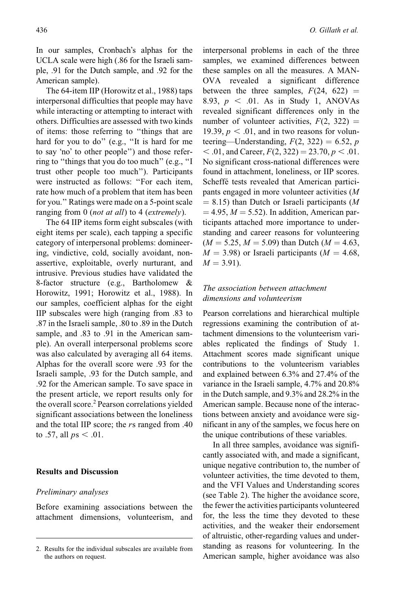In our samples, Cronbach's alphas for the UCLA scale were high (.86 for the Israeli sample, .91 for the Dutch sample, and .92 for the American sample).

The 64-item IIP (Horowitz et al., 1988) taps interpersonal difficulties that people may have while interacting or attempting to interact with others. Difficulties are assessed with two kinds of items: those referring to ''things that are hard for you to do" (e.g., "It is hard for me to say 'no' to other people") and those referring to ''things that you do too much'' (e.g., ''I trust other people too much''). Participants were instructed as follows: ''For each item, rate how much of a problem that item has been for you.'' Ratings were made on a 5-point scale ranging from 0 (*not at all*) to 4 (*extremely*).

The 64 IIP items form eight subscales (with eight items per scale), each tapping a specific category of interpersonal problems: domineering, vindictive, cold, socially avoidant, nonassertive, exploitable, overly nurturant, and intrusive. Previous studies have validated the 8-factor structure (e.g., Bartholomew & Horowitz, 1991; Horowitz et al., 1988). In our samples, coefficient alphas for the eight IIP subscales were high (ranging from .83 to .87 in the Israeli sample, .80 to .89 in the Dutch sample, and .83 to .91 in the American sample). An overall interpersonal problems score was also calculated by averaging all 64 items. Alphas for the overall score were .93 for the Israeli sample, .93 for the Dutch sample, and .92 for the American sample. To save space in the present article, we report results only for the overall score.<sup>2</sup> Pearson correlations yielded significant associations between the loneliness and the total IIP score; the rs ranged from .40 to .57, all  $ps < .01$ .

# Results and Discussion

#### Preliminary analyses

Before examining associations between the attachment dimensions, volunteerism, and interpersonal problems in each of the three samples, we examined differences between these samples on all the measures. A MAN-OVA revealed a significant difference between the three samples,  $F(24, 622) =$ 8.93,  $p \leq .01$ . As in Study 1, ANOVAs revealed significant differences only in the number of volunteer activities,  $F(2, 322) =$ 19.39,  $p < .01$ , and in two reasons for volunteering—Understanding,  $F(2, 322) = 6.52$ , p  $< .01$ , and Career,  $F(2, 322) = 23.70, p < .01$ . No significant cross-national differences were found in attachment, loneliness, or IIP scores. Scheffé tests revealed that American participants engaged in more volunteer activities (M  $= 8.15$ ) than Dutch or Israeli participants (M  $=$  4.95,  $M = 5.52$ ). In addition, American participants attached more importance to understanding and career reasons for volunteering  $(M = 5.25, M = 5.09)$  than Dutch  $(M = 4.63,$  $M = 3.98$ ) or Israeli participants ( $M = 4.68$ ,  $M = 3.91$ ).

# The association between attachment dimensions and volunteerism

Pearson correlations and hierarchical multiple regressions examining the contribution of attachment dimensions to the volunteerism variables replicated the findings of Study 1. Attachment scores made significant unique contributions to the volunteerism variables and explained between 6.3% and 27.4% of the variance in the Israeli sample, 4.7% and 20.8% in the Dutch sample, and 9.3% and 28.2% in the American sample. Because none of the interactions between anxiety and avoidance were significant in any of the samples, we focus here on the unique contributions of these variables.

In all three samples, avoidance was significantly associated with, and made a significant, unique negative contribution to, the number of volunteer activities, the time devoted to them, and the VFI Values and Understanding scores (see Table 2). The higher the avoidance score, the fewer the activities participants volunteered for, the less the time they devoted to these activities, and the weaker their endorsement of altruistic, other-regarding values and understanding as reasons for volunteering. In the American sample, higher avoidance was also

<sup>2.</sup> Results for the individual subscales are available from the authors on request.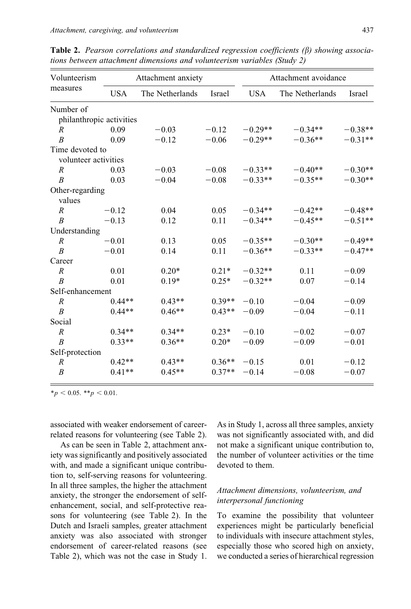| Volunteerism             |            | Attachment anxiety |          | Attachment avoidance |                 |           |  |  |
|--------------------------|------------|--------------------|----------|----------------------|-----------------|-----------|--|--|
| measures                 | <b>USA</b> | The Netherlands    | Israel   | <b>USA</b>           | The Netherlands | Israel    |  |  |
| Number of                |            |                    |          |                      |                 |           |  |  |
| philanthropic activities |            |                    |          |                      |                 |           |  |  |
| $\overline{R}$           | 0.09       | $-0.03$            | $-0.12$  | $-0.29**$            | $-0.34**$       | $-0.38**$ |  |  |
| $\boldsymbol{B}$         | 0.09       | $-0.12$            | $-0.06$  | $-0.29**$            | $-0.36**$       | $-0.31**$ |  |  |
| Time devoted to          |            |                    |          |                      |                 |           |  |  |
| volunteer activities     |            |                    |          |                      |                 |           |  |  |
| $\boldsymbol{R}$         | 0.03       | $-0.03$            | $-0.08$  | $-0.33**$            | $-0.40**$       | $-0.30**$ |  |  |
| $\overline{B}$           | 0.03       | $-0.04$            | $-0.08$  | $-0.33**$            | $-0.35**$       | $-0.30**$ |  |  |
| Other-regarding          |            |                    |          |                      |                 |           |  |  |
| values                   |            |                    |          |                      |                 |           |  |  |
| $\boldsymbol{R}$         | $-0.12$    | 0.04               | 0.05     | $-0.34**$            | $-0.42**$       | $-0.48**$ |  |  |
| $\boldsymbol{B}$         | $-0.13$    | 0.12               | 0.11     | $-0.34**$            | $-0.45**$       | $-0.51**$ |  |  |
| Understanding            |            |                    |          |                      |                 |           |  |  |
| $\boldsymbol{R}$         | $-0.01$    | 0.13               | 0.05     | $-0.35**$            | $-0.30**$       | $-0.49**$ |  |  |
| $\boldsymbol{B}$         | $-0.01$    | 0.14               | 0.11     | $-0.36**$            | $-0.33**$       | $-0.47**$ |  |  |
| Career                   |            |                    |          |                      |                 |           |  |  |
| $\boldsymbol{R}$         | 0.01       | $0.20*$            | $0.21*$  | $-0.32**$            | 0.11            | $-0.09$   |  |  |
| $\boldsymbol{B}$         | 0.01       | $0.19*$            | $0.25*$  | $-0.32**$            | 0.07            | $-0.14$   |  |  |
| Self-enhancement         |            |                    |          |                      |                 |           |  |  |
| $\boldsymbol{R}$         | $0.44**$   | $0.43**$           | $0.39**$ | $-0.10$              | $-0.04$         | $-0.09$   |  |  |
| $\boldsymbol{B}$         | $0.44**$   | $0.46**$           | $0.43**$ | $-0.09$              | $-0.04$         | $-0.11$   |  |  |
| Social                   |            |                    |          |                      |                 |           |  |  |
| $\boldsymbol{R}$         | $0.34**$   | $0.34**$           | $0.23*$  | $-0.10$              | $-0.02$         | $-0.07$   |  |  |
| $\boldsymbol{B}$         | $0.33**$   | $0.36**$           | $0.20*$  | $-0.09$              | $-0.09$         | $-0.01$   |  |  |
| Self-protection          |            |                    |          |                      |                 |           |  |  |
| R                        | $0.42**$   | $0.43**$           | $0.36**$ | $-0.15$              | 0.01            | $-0.12$   |  |  |
| $\boldsymbol{B}$         | $0.41**$   | $0.45**$           | $0.37**$ | $-0.14$              | $-0.08$         | $-0.07$   |  |  |
|                          |            |                    |          |                      |                 |           |  |  |

**Table 2.** Pearson correlations and standardized regression coefficients ( $\beta$ ) showing associations between attachment dimensions and volunteerism variables (Study 2)

 $*_p$  < 0.05.  $*_p$  < 0.01.

associated with weaker endorsement of careerrelated reasons for volunteering (see Table 2).

As can be seen in Table 2, attachment anxiety was significantly and positively associated with, and made a significant unique contribution to, self-serving reasons for volunteering. In all three samples, the higher the attachment anxiety, the stronger the endorsement of selfenhancement, social, and self-protective reasons for volunteering (see Table 2). In the Dutch and Israeli samples, greater attachment anxiety was also associated with stronger endorsement of career-related reasons (see Table 2), which was not the case in Study 1.

As in Study 1, across all three samples, anxiety was not significantly associated with, and did not make a significant unique contribution to, the number of volunteer activities or the time devoted to them.

# Attachment dimensions, volunteerism, and interpersonal functioning

To examine the possibility that volunteer experiences might be particularly beneficial to individuals with insecure attachment styles, especially those who scored high on anxiety, we conducted a series of hierarchical regression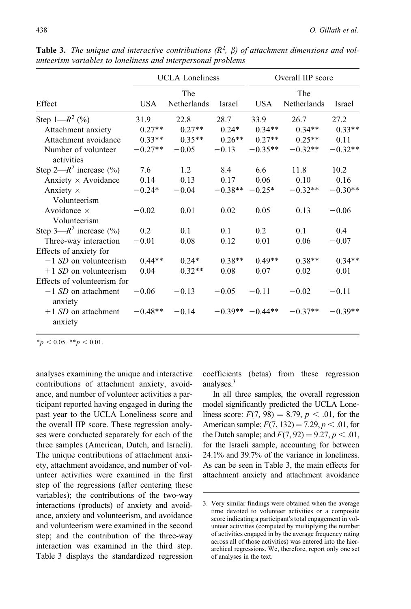|                                   |            | <b>UCLA</b> Loneliness |                  | Overall IIP score |             |               |  |
|-----------------------------------|------------|------------------------|------------------|-------------------|-------------|---------------|--|
|                                   |            | The                    |                  |                   | The         |               |  |
| Effect                            | <b>USA</b> | <b>Netherlands</b>     | <b>Israel</b>    | <b>USA</b>        | Netherlands | <b>Israel</b> |  |
| Step $1 - R^2$ (%)                | 31.9       | 22.8                   | 28.7             | 33.9              | 26.7        | 27.2          |  |
| Attachment anxiety                | $0.27**$   | $0.27**$               | $0.24*$          | $0.34**$          | $0.34**$    | $0.33**$      |  |
| Attachment avoidance              | $0.33**$   | $0.35**$               | $0.26**$         | $0.27**$          | $0.25**$    | 0.11          |  |
| Number of volunteer<br>activities | $-0.27**$  | $-0.05$                | $-0.13$          | $-0.35**$         | $-0.32**$   | $-0.32**$     |  |
| Step 2— $R^2$ increase $(\%$ )    | 7.6        | 1.2                    | 8.4              | 6.6               | 11.8        | 10.2          |  |
| Anxiety $\times$ Avoidance        | 0.14       | 0.13                   | 0.17             | 0.06              | 0.10        | 0.16          |  |
| Anxiety $\times$                  | $-0.24*$   | $-0.04$                | $-0.38** -0.25*$ |                   | $-0.32**$   | $-0.30**$     |  |
| Volunteerism                      |            |                        |                  |                   |             |               |  |
| Avoidance $\times$                | $-0.02$    | 0.01                   | 0.02             | 0.05              | 0.13        | $-0.06$       |  |
| Volunteerism                      |            |                        |                  |                   |             |               |  |
| Step $3 - R^2$ increase $(\% )$   | 0.2        | 0.1                    | 0.1              | 0.2               | 0.1         | 0.4           |  |
| Three-way interaction             | $-0.01$    | 0.08                   | 0.12             | 0.01              | 0.06        | $-0.07$       |  |
| Effects of anxiety for            |            |                        |                  |                   |             |               |  |
| $-1$ SD on volunteerism           | $0.44**$   | $0.24*$                | $0.38**$         | $0.49**$          | $0.38**$    | $0.34**$      |  |
| $+1$ SD on volunteerism           | 0.04       | $0.32**$               | 0.08             | 0.07              | 0.02        | 0.01          |  |
| Effects of volunteerism for       |            |                        |                  |                   |             |               |  |
| $-1$ SD on attachment<br>anxiety  | $-0.06$    | $-0.13$                | $-0.05$          | $-0.11$           | $-0.02$     | $-0.11$       |  |
| $+1$ SD on attachment<br>anxiety  | $-0.48**$  | $-0.14$                |                  | $-0.39** -0.44**$ | $-0.37**$   | $-0.39**$     |  |

**Table 3.** The unique and interactive contributions ( $\mathbb{R}^2$ ,  $\beta$ ) of attachment dimensions and volunteerism variables to loneliness and interpersonal problems

 $*_p$  < 0.05.  $*_p$  < 0.01.

analyses examining the unique and interactive contributions of attachment anxiety, avoidance, and number of volunteer activities a participant reported having engaged in during the past year to the UCLA Loneliness score and the overall IIP score. These regression analyses were conducted separately for each of the three samples (American, Dutch, and Israeli). The unique contributions of attachment anxiety, attachment avoidance, and number of volunteer activities were examined in the first step of the regressions (after centering these variables); the contributions of the two-way interactions (products) of anxiety and avoidance, anxiety and volunteerism, and avoidance and volunteerism were examined in the second step; and the contribution of the three-way interaction was examined in the third step. Table 3 displays the standardized regression

coefficients (betas) from these regression analyses.<sup>3</sup>

In all three samples, the overall regression model significantly predicted the UCLA Loneliness score:  $F(7, 98) = 8.79, p < .01$ , for the American sample;  $F(7, 132) = 7.29, p < .01$ , for the Dutch sample; and  $F(7, 92) = 9.27, p < .01$ , for the Israeli sample, accounting for between 24.1% and 39.7% of the variance in loneliness. As can be seen in Table 3, the main effects for attachment anxiety and attachment avoidance

<sup>3.</sup> Very similar findings were obtained when the average time devoted to volunteer activities or a composite score indicating a participant's total engagement in volunteer activities (computed by multiplying the number of activities engaged in by the average frequency rating across all of those activities) was entered into the hierarchical regressions. We, therefore, report only one set of analyses in the text.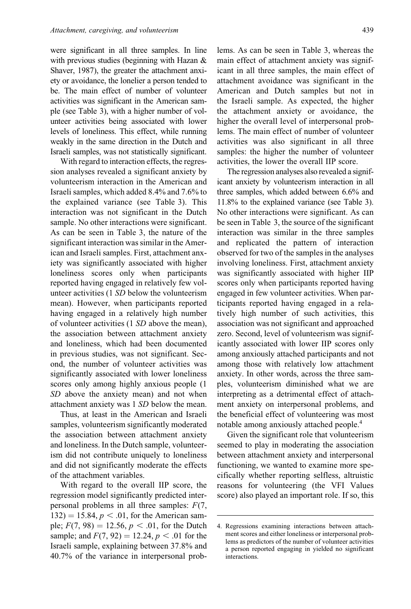were significant in all three samples. In line with previous studies (beginning with Hazan & Shaver, 1987), the greater the attachment anxiety or avoidance, the lonelier a person tended to be. The main effect of number of volunteer activities was significant in the American sample (see Table 3), with a higher number of volunteer activities being associated with lower levels of loneliness. This effect, while running weakly in the same direction in the Dutch and Israeli samples, was not statistically significant.

With regard to interaction effects, the regression analyses revealed a significant anxiety by volunteerism interaction in the American and Israeli samples, which added 8.4% and 7.6% to the explained variance (see Table 3). This interaction was not significant in the Dutch sample. No other interactions were significant. As can be seen in Table 3, the nature of the significant interaction was similar in the American and Israeli samples. First, attachment anxiety was significantly associated with higher loneliness scores only when participants reported having engaged in relatively few volunteer activities (1 SD below the volunteerism mean). However, when participants reported having engaged in a relatively high number of volunteer activities (1 SD above the mean), the association between attachment anxiety and loneliness, which had been documented in previous studies, was not significant. Second, the number of volunteer activities was significantly associated with lower loneliness scores only among highly anxious people (1 SD above the anxiety mean) and not when attachment anxiety was 1 SD below the mean.

Thus, at least in the American and Israeli samples, volunteerism significantly moderated the association between attachment anxiety and loneliness. In the Dutch sample, volunteerism did not contribute uniquely to loneliness and did not significantly moderate the effects of the attachment variables.

With regard to the overall IIP score, the regression model significantly predicted interpersonal problems in all three samples:  $F(7, 6)$  $132$ ) = 15.84,  $p < .01$ , for the American sample;  $F(7, 98) = 12.56, p < .01$ , for the Dutch sample; and  $F(7, 92) = 12.24, p < .01$  for the Israeli sample, explaining between 37.8% and 40.7% of the variance in interpersonal problems. As can be seen in Table 3, whereas the main effect of attachment anxiety was significant in all three samples, the main effect of attachment avoidance was significant in the American and Dutch samples but not in the Israeli sample. As expected, the higher the attachment anxiety or avoidance, the higher the overall level of interpersonal problems. The main effect of number of volunteer activities was also significant in all three samples: the higher the number of volunteer activities, the lower the overall IIP score.

The regression analyses also revealed a significant anxiety by volunteerism interaction in all three samples, which added between 6.6% and 11.8% to the explained variance (see Table 3). No other interactions were significant. As can be seen in Table 3, the source of the significant interaction was similar in the three samples and replicated the pattern of interaction observed for two of the samples in the analyses involving loneliness. First, attachment anxiety was significantly associated with higher IIP scores only when participants reported having engaged in few volunteer activities. When participants reported having engaged in a relatively high number of such activities, this association was not significant and approached zero. Second, level of volunteerism was significantly associated with lower IIP scores only among anxiously attached participants and not among those with relatively low attachment anxiety. In other words, across the three samples, volunteerism diminished what we are interpreting as a detrimental effect of attachment anxiety on interpersonal problems, and the beneficial effect of volunteering was most notable among anxiously attached people.<sup>4</sup>

Given the significant role that volunteerism seemed to play in moderating the association between attachment anxiety and interpersonal functioning, we wanted to examine more specifically whether reporting selfless, altruistic reasons for volunteering (the VFI Values score) also played an important role. If so, this

<sup>4.</sup> Regressions examining interactions between attachment scores and either loneliness or interpersonal problems as predictors of the number of volunteer activities a person reported engaging in yielded no significant interactions.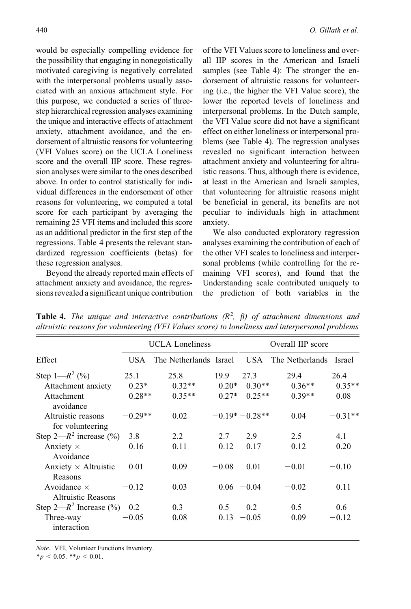would be especially compelling evidence for the possibility that engaging in nonegoistically motivated caregiving is negatively correlated with the interpersonal problems usually associated with an anxious attachment style. For this purpose, we conducted a series of threestep hierarchical regression analyses examining the unique and interactive effects of attachment anxiety, attachment avoidance, and the endorsement of altruistic reasons for volunteering (VFI Values score) on the UCLA Loneliness score and the overall IIP score. These regression analyses were similar to the ones described above. In order to control statistically for individual differences in the endorsement of other reasons for volunteering, we computed a total score for each participant by averaging the remaining 25 VFI items and included this score as an additional predictor in the first step of the regressions. Table 4 presents the relevant standardized regression coefficients (betas) for these regression analyses.

Beyond the already reported main effects of attachment anxiety and avoidance, the regressions revealed a significant unique contribution

of the VFI Values score to loneliness and overall IIP scores in the American and Israeli samples (see Table 4): The stronger the endorsement of altruistic reasons for volunteering (i.e., the higher the VFI Value score), the lower the reported levels of loneliness and interpersonal problems. In the Dutch sample, the VFI Value score did not have a significant effect on either loneliness or interpersonal problems (see Table 4). The regression analyses revealed no significant interaction between attachment anxiety and volunteering for altruistic reasons. Thus, although there is evidence, at least in the American and Israeli samples, that volunteering for altruistic reasons might be beneficial in general, its benefits are not peculiar to individuals high in attachment anxiety.

We also conducted exploratory regression analyses examining the contribution of each of the other VFI scales to loneliness and interpersonal problems (while controlling for the remaining VFI scores), and found that the Understanding scale contributed uniquely to the prediction of both variables in the

|                                          |           | <b>UCLA</b> Loneliness |         |                 | Overall IIP score |           |
|------------------------------------------|-----------|------------------------|---------|-----------------|-------------------|-----------|
| Effect                                   | USA.      | The Netherlands Israel |         | USA             | The Netherlands   | Israel    |
| Step 1— $R^2$ (%)                        | 25.1      | 25.8                   | 19.9    | 27.3            | 29.4              | 26.4      |
| Attachment anxiety                       | $0.23*$   | $0.32**$               | $0.20*$ | $0.30**$        | $0.36**$          | $0.35**$  |
| Attachment<br>avoidance                  | $0.28**$  | $0.35**$               | $0.27*$ | $0.25**$        | $0.39**$          | 0.08      |
| Altruistic reasons<br>for volunteering   | $-0.29**$ | 0.02                   |         | $-0.19*-0.28**$ | 0.04              | $-0.31**$ |
| Step 2— $R^2$ increase (%)               | 3.8       | 2.2                    | 2.7     | 2.9             | 2.5               | 4.1       |
| Anxiety $\times$<br>Avoidance            | 0.16      | 0.11                   | 0.12    | 0.17            | 0.12              | 0.20      |
| Anxiety $\times$ Altruistic<br>Reasons   | 0.01      | 0.09                   | $-0.08$ | 0.01            | $-0.01$           | $-0.10$   |
| Avoidance $\times$<br>Altruistic Reasons | $-0.12$   | 0.03                   |         | $0.06 - 0.04$   | $-0.02$           | 0.11      |
| Step 2— $R^2$ Increase $(\%$             | 0.2       | 0.3                    | 0.5     | 0.2             | 0.5               | 0.6       |
| Three-way<br>interaction                 | $-0.05$   | 0.08                   |         | $0.13 - 0.05$   | 0.09              | $-0.12$   |

**Table 4.** The unique and interactive contributions  $(R^2, \beta)$  of attachment dimensions and altruistic reasons for volunteering (VFI Values score) to loneliness and interpersonal problems

Note. VFI, Volunteer Functions Inventory.

 $*_{p}$  < 0.05.  $*_{p}$  < 0.01.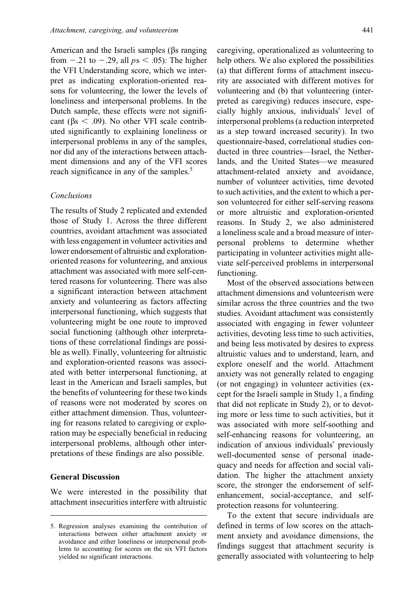American and the Israeli samples ( $\beta$ s ranging from  $-.21$  to  $-.29$ , all  $ps < .05$ ): The higher the VFI Understanding score, which we interpret as indicating exploration-oriented reasons for volunteering, the lower the levels of loneliness and interpersonal problems. In the Dutch sample, these effects were not significant ( $\beta$ s < .09). No other VFI scale contributed significantly to explaining loneliness or interpersonal problems in any of the samples, nor did any of the interactions between attachment dimensions and any of the VFI scores reach significance in any of the samples.<sup>5</sup>

#### Conclusions

The results of Study 2 replicated and extended those of Study 1. Across the three different countries, avoidant attachment was associated with less engagement in volunteer activities and lower endorsement of altruistic and explorationoriented reasons for volunteering, and anxious attachment was associated with more self-centered reasons for volunteering. There was also a significant interaction between attachment anxiety and volunteering as factors affecting interpersonal functioning, which suggests that volunteering might be one route to improved social functioning (although other interpretations of these correlational findings are possible as well). Finally, volunteering for altruistic and exploration-oriented reasons was associated with better interpersonal functioning, at least in the American and Israeli samples, but the benefits of volunteering for these two kinds of reasons were not moderated by scores on either attachment dimension. Thus, volunteering for reasons related to caregiving or exploration may be especially beneficial in reducing interpersonal problems, although other interpretations of these findings are also possible.

#### General Discussion

We were interested in the possibility that attachment insecurities interfere with altruistic

caregiving, operationalized as volunteering to help others. We also explored the possibilities (a) that different forms of attachment insecurity are associated with different motives for volunteering and (b) that volunteering (interpreted as caregiving) reduces insecure, especially highly anxious, individuals' level of interpersonal problems (a reduction interpreted as a step toward increased security). In two questionnaire-based, correlational studies conducted in three countries—Israel, the Netherlands, and the United States—we measured attachment-related anxiety and avoidance, number of volunteer activities, time devoted to such activities, and the extent to which a person volunteered for either self-serving reasons or more altruistic and exploration-oriented reasons. In Study 2, we also administered a loneliness scale and a broad measure of interpersonal problems to determine whether participating in volunteer activities might alleviate self-perceived problems in interpersonal functioning.

Most of the observed associations between attachment dimensions and volunteerism were similar across the three countries and the two studies. Avoidant attachment was consistently associated with engaging in fewer volunteer activities, devoting less time to such activities, and being less motivated by desires to express altruistic values and to understand, learn, and explore oneself and the world. Attachment anxiety was not generally related to engaging (or not engaging) in volunteer activities (except for the Israeli sample in Study 1, a finding that did not replicate in Study 2), or to devoting more or less time to such activities, but it was associated with more self-soothing and self-enhancing reasons for volunteering, an indication of anxious individuals' previously well-documented sense of personal inadequacy and needs for affection and social validation. The higher the attachment anxiety score, the stronger the endorsement of selfenhancement, social-acceptance, and selfprotection reasons for volunteering.

To the extent that secure individuals are defined in terms of low scores on the attachment anxiety and avoidance dimensions, the findings suggest that attachment security is generally associated with volunteering to help

<sup>5.</sup> Regression analyses examining the contribution of interactions between either attachment anxiety or avoidance and either loneliness or interpersonal problems to accounting for scores on the six VFI factors yielded no significant interactions.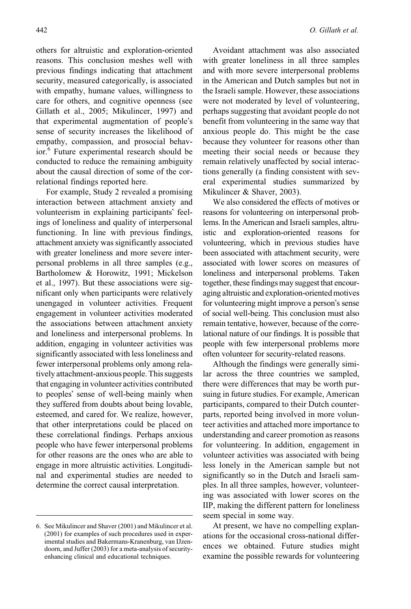others for altruistic and exploration-oriented reasons. This conclusion meshes well with previous findings indicating that attachment security, measured categorically, is associated with empathy, humane values, willingness to care for others, and cognitive openness (see Gillath et al., 2005; Mikulincer, 1997) and that experimental augmentation of people's sense of security increases the likelihood of empathy, compassion, and prosocial behavior.<sup>6</sup> Future experimental research should be conducted to reduce the remaining ambiguity about the causal direction of some of the correlational findings reported here.

For example, Study 2 revealed a promising interaction between attachment anxiety and volunteerism in explaining participants' feelings of loneliness and quality of interpersonal functioning. In line with previous findings, attachment anxiety was significantly associated with greater loneliness and more severe interpersonal problems in all three samples (e.g., Bartholomew & Horowitz, 1991; Mickelson et al., 1997). But these associations were significant only when participants were relatively unengaged in volunteer activities. Frequent engagement in volunteer activities moderated the associations between attachment anxiety and loneliness and interpersonal problems. In addition, engaging in volunteer activities was significantly associated with less loneliness and fewer interpersonal problems only among relatively attachment-anxious people. This suggests that engaging in volunteer activities contributed to peoples' sense of well-being mainly when they suffered from doubts about being lovable, esteemed, and cared for. We realize, however, that other interpretations could be placed on these correlational findings. Perhaps anxious people who have fewer interpersonal problems for other reasons are the ones who are able to engage in more altruistic activities. Longitudinal and experimental studies are needed to determine the correct causal interpretation.

Avoidant attachment was also associated with greater loneliness in all three samples and with more severe interpersonal problems in the American and Dutch samples but not in the Israeli sample. However, these associations were not moderated by level of volunteering, perhaps suggesting that avoidant people do not benefit from volunteering in the same way that anxious people do. This might be the case because they volunteer for reasons other than meeting their social needs or because they remain relatively unaffected by social interactions generally (a finding consistent with several experimental studies summarized by Mikulincer & Shaver, 2003).

We also considered the effects of motives or reasons for volunteering on interpersonal problems. In the American and Israeli samples, altruistic and exploration-oriented reasons for volunteering, which in previous studies have been associated with attachment security, were associated with lower scores on measures of loneliness and interpersonal problems. Taken together, these findings may suggest that encouraging altruistic and exploration-oriented motives for volunteering might improve a person's sense of social well-being. This conclusion must also remain tentative, however, because of the correlational nature of our findings. It is possible that people with few interpersonal problems more often volunteer for security-related reasons.

Although the findings were generally similar across the three countries we sampled, there were differences that may be worth pursuing in future studies. For example, American participants, compared to their Dutch counterparts, reported being involved in more volunteer activities and attached more importance to understanding and career promotion as reasons for volunteering. In addition, engagement in volunteer activities was associated with being less lonely in the American sample but not significantly so in the Dutch and Israeli samples. In all three samples, however, volunteering was associated with lower scores on the IIP, making the different pattern for loneliness seem special in some way.

At present, we have no compelling explanations for the occasional cross-national differences we obtained. Future studies might examine the possible rewards for volunteering

<sup>6.</sup> See Mikulincer and Shaver (2001) and Mikulincer et al. (2001) for examples of such procedures used in experimental studies and Bakermans-Kranenburg, van IJzendoorn, and Juffer (2003) for a meta-analysis of securityenhancing clinical and educational techniques.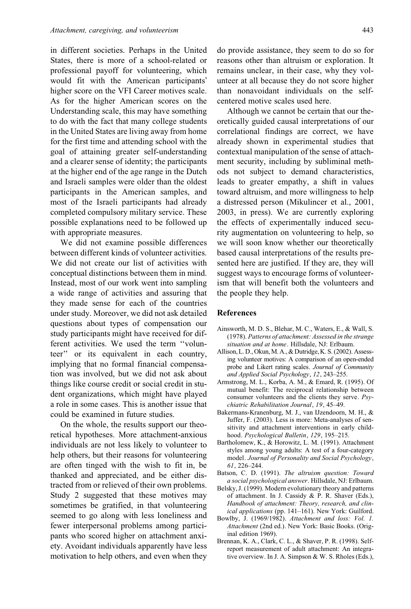in different societies. Perhaps in the United States, there is more of a school-related or professional payoff for volunteering, which would fit with the American participants higher score on the VFI Career motives scale. As for the higher American scores on the Understanding scale, this may have something to do with the fact that many college students in the United States are living away from home for the first time and attending school with the goal of attaining greater self-understanding and a clearer sense of identity; the participants at the higher end of the age range in the Dutch and Israeli samples were older than the oldest participants in the American samples, and most of the Israeli participants had already completed compulsory military service. These possible explanations need to be followed up with appropriate measures.

We did not examine possible differences between different kinds of volunteer activities. We did not create our list of activities with conceptual distinctions between them in mind. Instead, most of our work went into sampling a wide range of activities and assuring that they made sense for each of the countries under study. Moreover, we did not ask detailed questions about types of compensation our study participants might have received for different activities. We used the term ''volunteer'' or its equivalent in each country, implying that no formal financial compensation was involved, but we did not ask about things like course credit or social credit in student organizations, which might have played a role in some cases. This is another issue that could be examined in future studies.

On the whole, the results support our theoretical hypotheses. More attachment-anxious individuals are not less likely to volunteer to help others, but their reasons for volunteering are often tinged with the wish to fit in, be thanked and appreciated, and be either distracted from or relieved of their own problems. Study 2 suggested that these motives may sometimes be gratified, in that volunteering seemed to go along with less loneliness and fewer interpersonal problems among participants who scored higher on attachment anxiety. Avoidant individuals apparently have less motivation to help others, and even when they do provide assistance, they seem to do so for reasons other than altruism or exploration. It remains unclear, in their case, why they volunteer at all because they do not score higher than nonavoidant individuals on the selfcentered motive scales used here.

Although we cannot be certain that our theoretically guided causal interpretations of our correlational findings are correct, we have already shown in experimental studies that contextual manipulation of the sense of attachment security, including by subliminal methods not subject to demand characteristics, leads to greater empathy, a shift in values toward altruism, and more willingness to help a distressed person (Mikulincer et al., 2001, 2003, in press). We are currently exploring the effects of experimentally induced security augmentation on volunteering to help, so we will soon know whether our theoretically based causal interpretations of the results presented here are justified. If they are, they will suggest ways to encourage forms of volunteerism that will benefit both the volunteers and the people they help.

# References

- Ainsworth, M. D. S., Blehar, M. C., Waters, E., & Wall, S. (1978). Patterns of attachment: Assessed in the strange situation and at home. Hillsdale, NJ: Erlbaum.
- Allison, L. D., Okun, M. A., & Dutridge, K. S. (2002). Assessing volunteer motives: A comparison of an open-ended probe and Likert rating scales. Journal of Community and Applied Social Psychology, 12, 243–255.
- Armstrong, M. L., Korba, A. M., & Emard, R. (1995). Of mutual benefit: The reciprocal relationship between consumer volunteers and the clients they serve. Psychiatric Rehabilitation Journal, 19, 45–49.
- Bakermans-Kranenburg, M. J., van IJzendoorn, M. H., & Juffer, F. (2003). Less is more: Meta-analyses of sensitivity and attachment interventions in early childhood. Psychological Bulletin, 129, 195–215.
- Bartholomew, K., & Horowitz, L. M. (1991). Attachment styles among young adults: A test of a four-category model. Journal of Personality and Social Psychology, 61, 226–244.
- Batson, C. D. (1991). The altruism question: Toward a social psychological answer. Hillsdale, NJ: Erlbaum.
- Belsky, J. (1999). Modern evolutionary theory and patterns of attachment. In J. Cassidy & P. R. Shaver (Eds.), Handbook of attachment: Theory, research, and clinical applications (pp. 141–161). New York: Guilford.
- Bowlby, J. (1969/1982). Attachment and loss: Vol. 1. Attachment (2nd ed.). New York: Basic Books. (Original edition 1969).
- Brennan, K. A., Clark, C. L., & Shaver, P. R. (1998). Selfreport measurement of adult attachment: An integrative overview. In J. A. Simpson & W. S. Rholes (Eds.),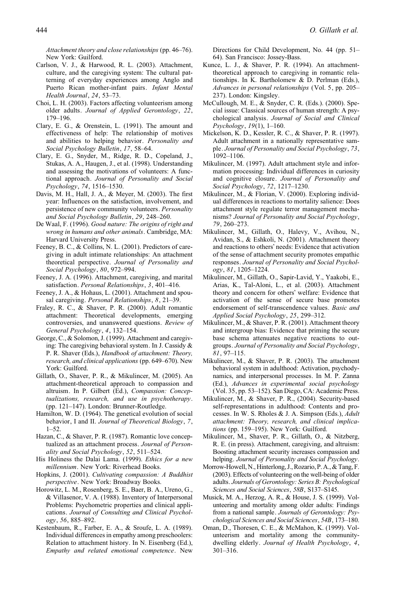Attachment theory and close relationships (pp. 46–76). New York: Guilford.

- Carlson, V. J., & Harwood, R. L. (2003). Attachment, culture, and the caregiving system: The cultural patterning of everyday experiences among Anglo and Puerto Rican mother-infant pairs. Infant Mental Health Journal, 24, 53–73.
- Choi, L. H. (2003). Factors affecting volunteerism among older adults. Journal of Applied Gerontology, 22, 179–196.
- Clary, E. G., & Orenstein, L. (1991). The amount and effectiveness of help: The relationship of motives and abilities to helping behavior. Personality and Social Psychology Bulletin, 17, 58–64.
- Clary, E. G., Snyder, M., Ridge, R. D., Copeland, J., Stukas, A. A., Haugen, J., et al. (1998). Understanding and assessing the motivations of volunteers: A functional approach. Journal of Personality and Social Psychology, 74, 1516–1530.
- Davis, M. H., Hall, J. A., & Meyer, M. (2003). The first year: Influences on the satisfaction, involvement, and persistence of new community volunteers. Personality and Social Psychology Bulletin, 29, 248–260.
- De Waal, F. (1996). Good nature: The origins of right and wrong in humans and other animals. Cambridge, MA: Harvard University Press.
- Feeney, B. C., & Collins, N. L. (2001). Predictors of caregiving in adult intimate relationships: An attachment theoretical perspective. Journal of Personality and Social Psychology, 80, 972–994.
- Feeney, J. A. (1996). Attachment, caregiving, and marital satisfaction. Personal Relationships, 3, 401–416.
- Feeney, J. A., & Hohaus, L. (2001). Attachment and spousal caregiving. Personal Relationships, 8, 21–39.
- Fraley, R. C., & Shaver, P. R. (2000). Adult romantic attachment: Theoretical developments, emerging controversies, and unanswered questions. Review of General Psychology, 4, 132–154.
- George, C., & Solomon, J. (1999). Attachment and caregiving: The caregiving behavioral system. In J. Cassidy & P. R. Shaver (Eds.), Handbook of attachment: Theory, research, and clinical applications (pp. 649–670). New York: Guilford.
- Gillath, O., Shaver, P. R., & Mikulincer, M. (2005). An attachment-theoretical approach to compassion and altruism. In P. Gilbert (Ed.), Compassion: Conceptualizations, research, and use in psychotherapy. (pp. 121–147). London: Brunner-Routledge.
- Hamilton, W. D. (1964). The genetical evolution of social behavior, I and II. Journal of Theoretical Biology, 7, 1–52.
- Hazan, C., & Shaver, P. R. (1987). Romantic love conceptualized as an attachment process. Journal of Personality and Social Psychology, 52, 511–524.
- His Holiness the Dalai Lama. (1999). Ethics for a new millennium. New York: Riverhead Books.
- Hopkins, J. (2001). Cultivating compassion: A Buddhist perspective. New York: Broadway Books.
- Horowitz, L. M., Rosenberg, S. E., Baer, B. A., Ureno, G., & Villasenor, V. A. (1988). Inventory of Interpersonal Problems: Psychometric properties and clinical applications. Journal of Consulting and Clinical Psychology, 56, 885–892.
- Kestenbaum, R., Farber, E. A., & Sroufe, L. A. (1989). Individual differences in empathy among preschoolers: Relation to attachment history. In N. Eisenberg (Ed.), Empathy and related emotional competence. New

Directions for Child Development, No. 44 (pp. 51– 64). San Francisco: Jossey-Bass.

- Kunce, L. J., & Shaver, P. R. (1994). An attachmenttheoretical approach to caregiving in romantic relationships. In K. Bartholomew & D. Perlman (Eds.), Advances in personal relationships (Vol. 5, pp. 205– 237). London: Kingsley.
- McCullough, M. E., & Snyder, C. R. (Eds.). (2000). Special issue: Classical sources of human strength: A psychological analysis. Journal of Social and Clinical Psychology, 19(1), 1–160.
- Mickelson, K. D., Kessler, R. C., & Shaver, P. R. (1997). Adult attachment in a nationally representative sample. Journal of Personality and Social Psychology, 73, 1092–1106.
- Mikulincer, M. (1997). Adult attachment style and information processing: Individual differences in curiosity and cognitive closure. Journal of Personality and Social Psychology, 72, 1217–1230.
- Mikulincer, M., & Florian, V. (2000). Exploring individual differences in reactions to mortality salience: Does attachment style regulate terror management mechanisms? Journal of Personality and Social Psychology, 79, 260–273.
- Mikulincer, M., Gillath, O., Halevy, V., Avihou, N., Avidan, S., & Eshkoli, N. (2001). Attachment theory and reactions to others' needs: Evidence that activation of the sense of attachment security promotes empathic responses. Journal of Personality and Social Psychology, 81, 1205–1224.
- Mikulincer, M., Gillath, O., Sapir-Lavid, Y., Yaakobi, E., Arias, K., Tal-Aloni, L., et al. (2003). Attachment theory and concern for others' welfare: Evidence that activation of the sense of secure base promotes endorsement of self-transcendence values. Basic and Applied Social Psychology, 25, 299–312.
- Mikulincer, M., & Shaver, P. R. (2001). Attachment theory and intergroup bias: Evidence that priming the secure base schema attenuates negative reactions to outgroups. Journal of Personality and Social Psychology, 81, 97–115.
- Mikulincer, M., & Shaver, P. R. (2003). The attachment behavioral system in adulthood: Activation, psychodynamics, and interpersonal processes. In M. P. Zanna (Ed.), Advances in experimental social psychology (Vol. 35, pp. 53–152). San Diego, CA: Academic Press.
- Mikulincer, M., & Shaver, P. R., (2004). Security-based self-representations in adulthood: Contents and processes. In W. S. Rholes & J. A. Simpson (Eds.), Adult attachment: Theory, research, and clinical implications (pp. 159–195). New York: Guilford.
- Mikulincer, M., Shaver, P. R., Gillath, O., & Nitzberg, R. E. (in press). Attachment, caregiving, and altruism: Boosting attachment security increases compassion and helping. Journal of Personality and Social Psychology.
- Morrow-Howell, N., Hinterlong, J., Rozario, P. A., & Tang, F. (2003). Effects of volunteering on the well-being of older adults. Journals of Gerontology: Series B: Psychological Sciences and Social Sciences, 58B, S137–S145.
- Musick, M. A., Herzog, A. R., & House, J. S. (1999). Volunteering and mortality among older adults: Findings from a national sample. Journals of Gerontology: Psychological Sciences and Social Sciences, 54B, 173–180.
- Oman, D., Thoresen, C. E., & McMahon, K. (1999). Volunteerism and mortality among the communitydwelling elderly. Journal of Health Psychology, 4, 301–316.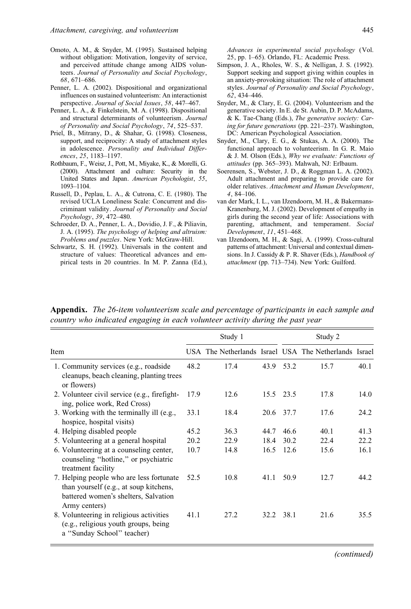- Omoto, A. M., & Snyder, M. (1995). Sustained helping without obligation: Motivation, longevity of service, and perceived attitude change among AIDS volunteers. Journal of Personality and Social Psychology, 68, 671–686.
- Penner, L. A. (2002). Dispositional and organizational influences on sustained volunteerism: An interactionist perspective. Journal of Social Issues, 58, 447–467.
- Penner, L. A., & Finkelstein, M. A. (1998). Dispositional and structural determinants of volunteerism. Journal of Personality and Social Psychology, 74, 525–537.
- Priel, B., Mitrany, D., & Shahar, G. (1998). Closeness, support, and reciprocity: A study of attachment styles in adolescence. Personality and Individual Differences, 25, 1183–1197.
- Rothbaum, F., Weisz, J., Pott, M., Miyake, K., & Morelli, G. (2000). Attachment and culture: Security in the United States and Japan. American Psychologist, 55, 1093–1104.
- Russell, D., Peplau, L. A., & Cutrona, C. E. (1980). The revised UCLA Loneliness Scale: Concurrent and discriminant validity. Journal of Personality and Social Psychology, 39, 472–480.
- Schroeder, D. A., Penner, L. A., Dovidio, J. F., & Piliavin, J. A. (1995). The psychology of helping and altruism: Problems and puzzles. New York: McGraw-Hill.
- Schwartz, S. H. (1992). Universals in the content and structure of values: Theoretical advances and empirical tests in 20 countries. In M. P. Zanna (Ed.),

Advances in experimental social psychology (Vol. 25, pp. 1–65). Orlando, FL: Academic Press.

- Simpson, J. A., Rholes, W. S., & Nelligan, J. S. (1992). Support seeking and support giving within couples in an anxiety-provoking situation: The role of attachment styles. Journal of Personality and Social Psychology, 62, 434–446.
- Snyder, M., & Clary, E. G. (2004). Volunteerism and the generative society. In E. de St. Aubin, D. P. McAdams, & K. Tae-Chang (Eds.), The generative society: Caring for future generations (pp. 221–237). Washington, DC: American Psychological Association.
- Snyder, M., Clary, E. G., & Stukas, A. A. (2000). The functional approach to volunteerism. In G. R. Maio & J. M. Olson (Eds.), Why we evaluate: Functions of attitudes (pp. 365–393). Mahwah, NJ: Erlbaum.
- Soerensen, S., Webster, J. D., & Roggman L. A. (2002). Adult attachment and preparing to provide care for older relatives. Attachment and Human Development, 4, 84–106.
- van der Mark, I. L., van IJzendoorn, M. H., & Bakermans-Kranenburg, M. J. (2002). Development of empathy in girls during the second year of life: Associations with parenting, attachment, and temperament. Social Development, 11, 451–468.
- van IJzendoorn, M. H., & Sagi, A. (1999). Cross-cultural patterns of attachment: Universal and contextual dimensions. In J. Cassidy & P. R. Shaver (Eds.), Handbook of attachment (pp. 713–734). New York: Guilford.

Appendix. The 26-item volunteerism scale and percentage of participants in each sample and country who indicated engaging in each volunteer activity during the past year

|                                                                                                                                             | Study 1 |      |      |      | Study 2                                               |      |  |  |
|---------------------------------------------------------------------------------------------------------------------------------------------|---------|------|------|------|-------------------------------------------------------|------|--|--|
| Item                                                                                                                                        |         |      |      |      | USA The Netherlands Israel USA The Netherlands Israel |      |  |  |
| 1. Community services (e.g., roadside<br>cleanups, beach cleaning, planting trees<br>or flowers)                                            | 48.2    | 17.4 | 43.9 | 53.2 | 15.7                                                  | 40.1 |  |  |
| 2. Volunteer civil service (e.g., firefight-<br>ing, police work, Red Cross)                                                                | 17.9    | 12.6 | 15.5 | 23.5 | 17.8                                                  | 14.0 |  |  |
| 3. Working with the terminally ill (e.g.,<br>hospice, hospital visits)                                                                      | 33.1    | 18.4 | 20.6 | 37.7 | 17.6                                                  | 24.2 |  |  |
| 4. Helping disabled people                                                                                                                  | 45.2    | 36.3 | 44.7 | 46.6 | 40.1                                                  | 41.3 |  |  |
| 5. Volunteering at a general hospital                                                                                                       | 20.2    | 22.9 | 18.4 | 30.2 | 22.4                                                  | 22.2 |  |  |
| 6. Volunteering at a counseling center,<br>counseling "hotline," or psychiatric<br>treatment facility                                       | 10.7    | 14.8 | 16.5 | 12.6 | 15.6                                                  | 16.1 |  |  |
| 7. Helping people who are less fortunate<br>than yourself (e.g., at soup kitchens,<br>battered women's shelters, Salvation<br>Army centers) | 52.5    | 10.8 | 41.1 | 50.9 | 12.7                                                  | 44.2 |  |  |
| 8. Volunteering in religious activities<br>(e.g., religious youth groups, being<br>a "Sunday School" teacher)                               | 41.1    | 27.2 | 32.2 | 38.1 | 21.6                                                  | 35.5 |  |  |

(continued)